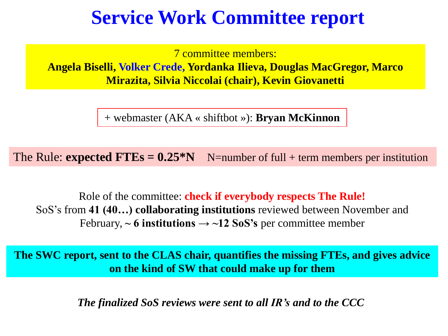# **Service Work Committee report**

7 committee members:

**Angela Biselli, Volker Crede, Yordanka Ilieva, Douglas MacGregor, Marco Mirazita, Silvia Niccolai (chair), Kevin Giovanetti**

+ webmaster (AKA « shiftbot »): **Bryan McKinnon**

The Rule: **expected FTEs =**  $0.25 \cdot N$  N=number of full + term members per institution

Role of the committee: **check if everybody respects The Rule!** SoS's from **41 (40…) collaborating institutions** reviewed between November and February,  $\sim$  6 institutions  $\rightarrow$   $\sim$  12 SoS's per committee member

**The SWC report, sent to the CLAS chair, quantifies the missing FTEs, and gives advice on the kind of SW that could make up for them**

*The finalized SoS reviews were sent to all IR's and to the CCC*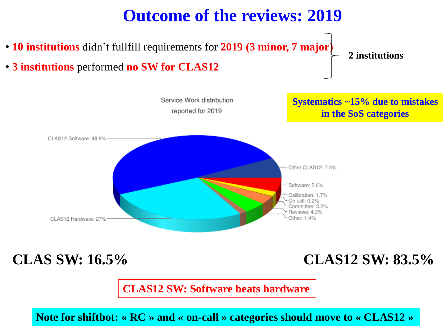### **Outcome of the reviews: 2019**

- **10 institutions** didn't fullfill requirements for **2019 (3 minor, 7 major)**
- **3 institutions** performed **no SW for CLAS12**

**2 institutions**



**CLAS SW: 16.5% CLAS12 SW: 83.5%**

**CLAS12 SW: Software beats hardware**

**Note for shiftbot: « RC » and « on-call » categories should move to « CLAS12 »**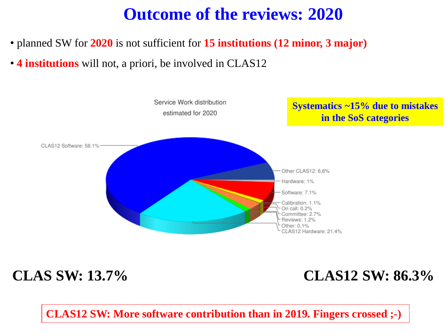## **Outcome of the reviews: 2020**

- planned SW for **2020** is not sufficient for **15 institutions (12 minor, 3 major)**
- **4 institutions** will not, a priori, be involved in CLAS12



### **CLAS SW: 13.7% CLAS12 SW: 86.3%**

**CLAS12 SW: More software contribution than in 2019. Fingers crossed ;-)**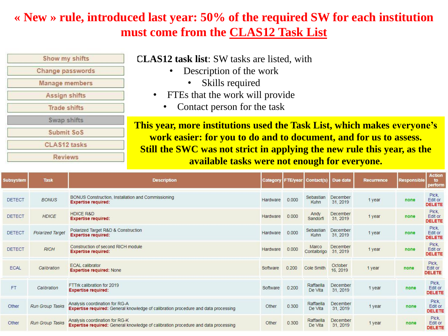#### **« New » rule, introduced last year: 50% of the required SW for each institution must come from the CLAS12 Task List**

| Show my shifts          |  |
|-------------------------|--|
| <b>Change passwords</b> |  |
| <b>Manage members</b>   |  |
| <b>Assign shifts</b>    |  |
| <b>Trade shifts</b>     |  |
| Swap shifts             |  |
| Submit SoS              |  |
| <b>CLAS12 tasks</b>     |  |
| <b>Reviews</b>          |  |

**CLAS12 task list**: SW tasks are listed, with

- Description of the work
	- Skills required
- FTEs that the work will provide
	- Contact person for the task

**This year, more institutions used the Task List, which makes everyone's work easier: for you to do and to document, and for us to assess. Still the SWC was not strict in applying the new rule this year, as the available tasks were not enough for everyone.**

| <b>Subsystem</b> | <b>Task</b>            | <b>Description</b>                                                                                                          |          |       | Category FTE/year Contact(s) | Due date             | <b>Recurrence</b> | <b>Responsible</b> | <b>Action</b><br>to<br>perform    |
|------------------|------------------------|-----------------------------------------------------------------------------------------------------------------------------|----------|-------|------------------------------|----------------------|-------------------|--------------------|-----------------------------------|
| <b>DETECT</b>    | <b>BONUS</b>           | BONUS Construction, Installation and Commissioning<br><b>Expertise required:</b>                                            | Hardware | 0.000 | Sebastian<br>Kuhn            | December<br>31, 2019 | 1 year            | none               | Pick.<br>Edit or<br><b>DELETE</b> |
| <b>DETECT</b>    | <b>HDICE</b>           | <b>HDICE R&amp;D</b><br><b>Expertise required:</b>                                                                          | Hardware | 0.000 | Andy<br>Sandorfi             | December<br>31, 2019 | 1 year            | none               | Pick,<br>Edit or<br><b>DELETE</b> |
| <b>DETECT</b>    | Polarized Target       | Polarized Target R&D & Construction<br><b>Expertise required:</b>                                                           | Hardware | 0.000 | Sebastian<br>Kuhn            | December<br>31, 2019 | 1 year            | none               | Pick.<br>Edit or<br><b>DELETE</b> |
| <b>DETECT</b>    | <b>RICH</b>            | Construction of second RICH module<br><b>Expertise required:</b>                                                            | Hardware | 0.000 | Marco<br>Contalbrigo         | December<br>31, 2019 | 1 year            | none               | Pick.<br>Edit or<br><b>DELETE</b> |
| ECAL             | Calibration            | <b>ECAL calibrator</b><br><b>Expertise required: None</b>                                                                   | Software | 0.200 | Cole Smith                   | October<br>16, 2019  | 1 year            | none               | Pick.<br>Edit or<br><b>DELETE</b> |
| <b>FT</b>        | Calibration            | FTTrk calibration for 2019<br><b>Expertise required:</b>                                                                    | Software | 0.200 | Raffaella<br>De Vita         | December<br>31, 2019 | 1 year            | none               | Pick.<br>Edit or<br><b>DELETE</b> |
| Other            | Run Group Tasks        | Analysis coordination for RG-A<br><b>Expertise required:</b> General knowledge of calibration procedure and data processing | Other    | 0.300 | Raffaella<br>De Vita         | December<br>31, 2019 | 1 year            | none               | Pick.<br>Edit or<br><b>DELETE</b> |
| Other            | <b>Run Group Tasks</b> | Analysis coordination for RG-K<br><b>Expertise required:</b> General knowledge of calibration procedure and data processing | Other    | 0.300 | Raffaella<br>De Vita         | December<br>31, 2019 | 1 year            | none               | Pick,<br>Edit or<br><b>DELETE</b> |